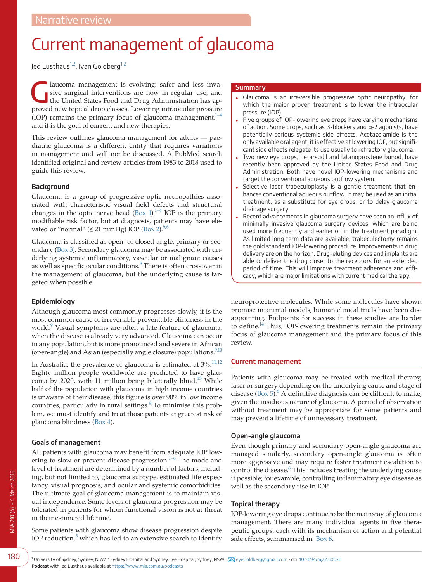# Current management of glaucoma

Jed Lusthaus<sup>1,2</sup>, Ivan Goldberg<sup>1,2</sup>

aucoma management is evolving: safer and less inva-<br>sive surgical interventions are now in regular use, and<br>the United States Food and Drug Administration has apsive surgical interventions are now in regular use, and the United States Food and Drug Administration has approved new topical drop classes. Lowering intraocular pressure (IOP) remains the primary focus of glaucoma management, $1$ – and it is the goal of current and new therapies.

This review outlines glaucoma management for adults — paediatric glaucoma is a different entity that requires variations in management and will not be discussed. A PubMed search identified original and review articles from 1983 to 2018 used to guide this review.

# **Background**

Glaucoma is a group of progressive optic neuropathies associated with characteristic visual field defects and structural changes in the optic nerve head [\(Box 1](#page-1-0)). $1-4$  IOP is the primary modifiable risk factor, but at diagnosis, patients may have elevated or "normal" ( $\leq$  21 mmHg) IOP ([Box 2](#page-2-0)).<sup>[5,6](#page-6-1)</sup>

Glaucoma is classified as open- or closed-angle, primary or secondary ([Box 3\)](#page-2-1). Secondary glaucoma may be associated with underlying systemic inflammatory, vascular or malignant causes as well as specific ocular conditions.<sup>[8](#page-6-2)</sup> There is often crossover in the management of glaucoma, but the underlying cause is targeted when possible.

# **Epidemiology**

Although glaucoma most commonly progresses slowly, it is the most common cause of irreversible preventable blindness in the world.<sup>9</sup> Visual symptoms are often a late feature of glaucoma, when the disease is already very advanced. Glaucoma can occur in any population, but is more pronounced and severe in African (open-angle) and Asian (especially angle closure) populations. $9,10$ 

In Australia, the prevalence of glaucoma is estimated at  $3\%$ .<sup>[11,12](#page-6-4)</sup> Eighty million people worldwide are predicted to have glau-coma by 2020, with 11 million being bilaterally blind.<sup>[13](#page-6-5)</sup> While half of the population with glaucoma in high income countries is unaware of their disease, this figure is over 90% in low income countries, particularly in rural settings.<sup>9</sup> To minimise this problem, we must identify and treat those patients at greatest risk of glaucoma blindness [\(Box 4\)](#page-3-0).

# **Goals of management**

All patients with glaucoma may benefit from adequate IOP lowering to slow or prevent disease progression. $1-6$  The mode and level of treatment are determined by a number of factors, including, but not limited to, glaucoma subtype, estimated life expectancy, visual prognosis, and ocular and systemic comorbidities. The ultimate goal of glaucoma management is to maintain visual independence. Some levels of glaucoma progression may be tolerated in patients for whom functional vision is not at threat in their estimated lifetime.

<span id="page-0-0"></span>Some patients with glaucoma show disease progression despite IOP reduction, $5$  which has led to an extensive search to identify

#### **Summary**

- Glaucoma is an irreversible progressive optic neuropathy, for which the major proven treatment is to lower the intraocular pressure (IOP).
- Five groups of IOP-lowering eye drops have varying mechanisms of action. Some drops, such as β-blockers and α-2 agonists, have potentially serious systemic side effects. Acetazolamide is the only available oral agent; it is effective at lowering IOP, but significant side effects relegate its use usually to refractory glaucoma.
- Two new eye drops, netarsudil and latanoprostene bunod, have recently been approved by the United States Food and Drug Administration. Both have novel IOP-lowering mechanisms and target the conventional aqueous outflow system.
- Selective laser trabeculoplasty is a gentle treatment that enhances conventional aqueous outflow. It may be used as an initial treatment, as a substitute for eye drops, or to delay glaucoma drainage surgery.
- Recent advancements in glaucoma surgery have seen an influx of minimally invasive glaucoma surgery devices, which are being used more frequently and earlier on in the treatment paradigm. As limited long term data are available, trabeculectomy remains the gold standard IOP-lowering procedure. Improvements in drug delivery are on the horizon. Drug-eluting devices and implants are able to deliver the drug closer to the receptors for an extended period of time. This will improve treatment adherence and efficacy, which are major limitations with current medical therapy.

neuroprotective molecules. While some molecules have shown promise in animal models, human clinical trials have been disappointing. Endpoints for success in these studies are harder to define.<sup>14</sup> Thus, IOP-lowering treatments remain the primary focus of glaucoma management and the primary focus of this review.

## **Current management**

Patients with glaucoma may be treated with medical therapy, laser or surgery depending on the underlying cause and stage of disease ([Box 5](#page-3-1)). $8$  A definitive diagnosis can be difficult to make, given the insidious nature of glaucoma. A period of observation without treatment may be appropriate for some patients and may prevent a lifetime of unnecessary treatment.

## **Open-angle glaucoma**

Even though primary and secondary open-angle glaucoma are managed similarly, secondary open-angle glaucoma is often more aggressive and may require faster treatment escalation to control the disease.<sup>[6](#page-6-7)</sup> This includes treating the underlying cause if possible; for example, controlling inflammatory eye disease as well as the secondary rise in IOP.

## **Topical therapy**

IOP-lowering eye drops continue to be the mainstay of glaucoma management. There are many individual agents in five therapeutic groups, each with its mechanism of action and potential side effects, summarised in [Box 6](#page-4-0).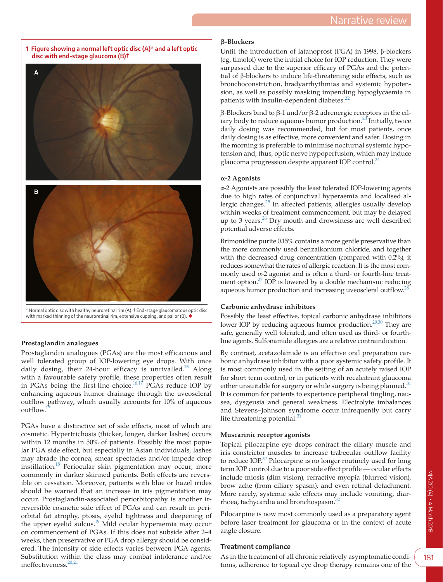<span id="page-1-0"></span>



with marked thinning of the neuroretinal rim, extensive cupping, and pallor (B). ◆

## **Prostaglandin analogues**

Prostaglandin analogues (PGAs) are the most efficacious and well tolerated group of IOP-lowering eye drops. With once daily dosing, their 24-hour efficacy is unrivalled.<sup>15</sup> Along with a favourable safety profile, these properties often result in PGAs being the first-line choice.<sup>[16,17](#page-6-9)</sup> PGAs reduce IOP by enhancing aqueous humor drainage through the uveoscleral outflow pathway, which usually accounts for 10% of aqueous outflow.

PGAs have a distinctive set of side effects, most of which are cosmetic. Hypertrichosis (thicker, longer, darker lashes) occurs within 12 months in 50% of patients. Possibly the most popular PGA side effect, but especially in Asian individuals, lashes may abrade the cornea, smear spectacles and/or impede drop instillation.<sup>18</sup> Periocular skin pigmentation may occur, more commonly in darker skinned patients. Both effects are reversible on cessation. Moreover, patients with blue or hazel irides should be warned that an increase in iris pigmentation may occur. Prostaglandin-associated periorbitopathy is another irreversible cosmetic side effect of PGAs and can result in periorbital fat atrophy, ptosis, eyelid tightness and deepening of the upper eyelid sulcus.<sup>19</sup> Mild ocular hyperaemia may occur on commencement of PGAs. If this does not subside after 2–4 weeks, then preservative or PGA drop allergy should be considered. The intensity of side effects varies between PGA agents. Substitution within the class may combat intolerance and/or ineffectiveness.[20,21](#page-6-13)

## **β-Blockers**

Until the introduction of latanoprost (PGA) in 1998, β-blockers (eg, timolol) were the initial choice for IOP reduction. They were surpassed due to the superior efficacy of PGAs and the potential of β-blockers to induce life-threatening side effects, such as bronchoconstriction, bradyarrhythmias and systemic hypotension, as well as possibly masking impending hypoglycaemia in patients with insulin-dependent diabetes.<sup>[22](#page-6-14)</sup>

β-Blockers bind to β-1 and/or β-2 adrenergic receptors in the ciliary body to reduce aqueous humor production.<sup>23</sup> Initially, twice daily dosing was recommended, but for most patients, once daily dosing is as effective, more convenient and safer. Dosing in the morning is preferable to minimise nocturnal systemic hypotension and, thus, optic nerve hypoperfusion, which may induce glaucoma progression despite apparent IOP control.<sup>[24](#page-6-16)</sup>

## **α-2 Agonists**

α-2 Agonists are possibly the least tolerated IOP-lowering agents due to high rates of conjunctival hyperaemia and localised allergic changes.[25](#page-6-17) In affected patients, allergies usually develop within weeks of treatment commencement, but may be delayed up to 3 years.<sup>26</sup> Dry mouth and drowsiness are well described potential adverse effects.

Brimonidine purite 0.15% contains a more gentle preservative than the more commonly used benzalkonium chloride, and together with the decreased drug concentration (compared with 0.2%), it reduces somewhat the rates of allergic reaction. It is the most commonly used  $\alpha$ -2 agonist and is often a third- or fourth-line treatment option[.27](#page-6-19) IOP is lowered by a double mechanism: reducing aqueous humor production and increasing uveoscleral outflow.<sup>21</sup>

#### **Carbonic anhydrase inhibitors**

Possibly the least effective, topical carbonic anhydrase inhibitors lower IOP by reducing aqueous humor production.<sup>[29,30](#page-6-21)</sup> They are safe, generally well tolerated, and often used as third- or fourthline agents. Sulfonamide allergies are a relative contraindication.

By contrast, acetazolamide is an effective oral preparation carbonic anhydrase inhibitor with a poor systemic safety profile. It is most commonly used in the setting of an acutely raised IOP for short term control, or in patients with recalcitrant glaucoma either unsuitable for surgery or while surgery is being planned.<sup>[31](#page-6-22)</sup> It is common for patients to experience peripheral tingling, nausea, dysgeusia and general weakness. Electrolyte imbalances and Stevens–Johnson syndrome occur infrequently but carry life threatening potential. $31$ 

## **Muscarinic receptor agonists**

Topical pilocarpine eye drops contract the ciliary muscle and iris constrictor muscles to increase trabecular outflow facility to reduce IOP.<sup>32</sup> Pilocarpine is no longer routinely used for long term IOP control due to a poor side effect profile — ocular effects include miosis (dim vision), refractive myopia (blurred vision), brow ache (from ciliary spasm), and even retinal detachment. More rarely, systemic side effects may include vomiting, diar-rhoea, tachycardia and bronchospasm.<sup>[32](#page-6-23)</sup>

Pilocarpine is now most commonly used as a preparatory agent before laser treatment for glaucoma or in the context of acute angle closure.

## **Treatment compliance**

As in the treatment of all chronic relatively asymptomatic conditions, adherence to topical eye drop therapy remains one of the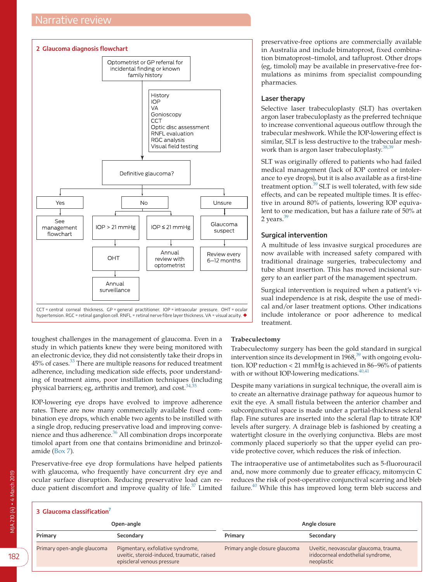<span id="page-2-0"></span>

toughest challenges in the management of glaucoma. Even in a study in which patients knew they were being monitored with an electronic device, they did not consistently take their drops in 45% of cases.<sup>[33](#page-6-24)</sup> There are multiple reasons for reduced treatment adherence, including medication side effects, poor understanding of treatment aims, poor instillation techniques (including physical barriers; eg, arthritis and tremor), and  $cost.^{34,35}$  $cost.^{34,35}$  $cost.^{34,35}$ 

IOP-lowering eye drops have evolved to improve adherence rates. There are now many commercially available fixed combination eye drops, which enable two agents to be instilled with a single drop, reducing preservative load and improving convenience and thus adherence.<sup>36</sup> All combination drops incorporate timolol apart from one that contains brimonidine and brinzolamide ([Box 7\)](#page-4-1).

Preservative-free eye drop formulations have helped patients with glaucoma, who frequently have concurrent dry eye and ocular surface disruption. Reducing preservative load can reduce patient discomfort and improve quality of life.<sup>37</sup> Limited

preservative-free options are commercially available in Australia and include bimatoprost, fixed combination bimatoprost–timolol, and tafluprost. Other drops (eg, timolol) may be available in preservative-free formulations as minims from specialist compounding pharmacies.

## **Laser therapy**

Selective laser trabeculoplasty (SLT) has overtaken argon laser trabeculoplasty as the preferred technique to increase conventional aqueous outflow through the trabecular meshwork. While the IOP-lowering effect is similar, SLT is less destructive to the trabecular meshwork than is argon laser trabeculoplasty. $38/3$ 

SLT was originally offered to patients who had failed medical management (lack of IOP control or intolerance to eye drops), but it is also available as a first-line treatment option.[39](#page-7-3) SLT is well tolerated, with few side effects, and can be repeated multiple times. It is effective in around 80% of patients, lowering IOP equivalent to one medication, but has a failure rate of 50% at 2 years. $39$ 

## **Surgical intervention**

A multitude of less invasive surgical procedures are now available with increased safety compared with traditional drainage surgeries, trabeculectomy and tube shunt insertion. This has moved incisional surgery to an earlier part of the management spectrum.

Surgical intervention is required when a patient's visual independence is at risk, despite the use of medical and/or laser treatment options. Other indications include intolerance or poor adherence to medical treatment.

## **Trabeculectomy**

Trabeculectomy surgery has been the gold standard in surgical intervention since its development in 1968,<sup>[39](#page-7-3)</sup> with ongoing evolution. IOP reduction < 21 mmHg is achieved in 86–96% of patients with or without IOP-lowering medications. $40,41$ 

Despite many variations in surgical technique, the overall aim is to create an alternative drainage pathway for aqueous humor to exit the eye. A small fistula between the anterior chamber and subconjunctival space is made under a partial-thickness scleral flap. Fine sutures are inserted into the scleral flap to titrate IOP levels after surgery. A drainage bleb is fashioned by creating a watertight closure in the overlying conjunctiva. Blebs are most commonly placed superiorly so that the upper eyelid can provide protective cover, which reduces the risk of infection.

The intraoperative use of antimetabolites such as 5-fluorouracil and, now more commonly due to greater efficacy, mitomycin C reduces the risk of post-operative conjunctival scarring and bleb failure.<sup>40</sup> While this has improved long term bleb success and

<span id="page-2-1"></span>

| 3 Glaucoma classification <sup>7</sup> |                                                                                                                |                                |                                                                                            |
|----------------------------------------|----------------------------------------------------------------------------------------------------------------|--------------------------------|--------------------------------------------------------------------------------------------|
| Angle closure<br>Open-angle            |                                                                                                                |                                |                                                                                            |
| Primary                                | Secondary                                                                                                      | Primary                        | Secondary                                                                                  |
| Primary open-angle glaucoma            | Pigmentary, exfoliative syndrome,<br>uveitic, steroid-induced, traumatic, raised<br>episcleral venous pressure | Primary angle closure glaucoma | Uveitic, neovascular glaucoma, trauma,<br>iridocorneal endothelial syndrome,<br>neoplastic |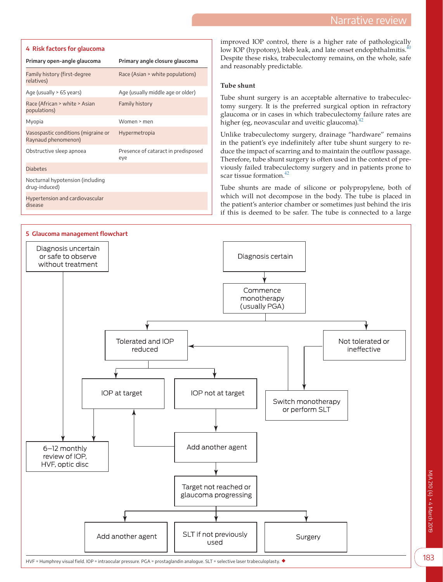#### <span id="page-3-0"></span>**4 Risk factors for glaucoma**

| Primary angle closure glaucoma             |  |
|--------------------------------------------|--|
| Race (Asian > white populations)           |  |
| Age (usually middle age or older)          |  |
| Family history                             |  |
| Women > men                                |  |
| Hypermetropia                              |  |
| Presence of cataract in predisposed<br>eye |  |
|                                            |  |
|                                            |  |
|                                            |  |
|                                            |  |

improved IOP control, there is a higher rate of pathologically low IOP (hypotony), bleb leak, and late onset endophthalmitis.<sup>40</sup> Despite these risks, trabeculectomy remains, on the whole, safe and reasonably predictable.

## **Tube shunt**

Tube shunt surgery is an acceptable alternative to trabeculectomy surgery. It is the preferred surgical option in refractory glaucoma or in cases in which trabeculectomy failure rates are higher (eg, neovascular and uveitic glaucoma).<sup>4</sup>

Unlike trabeculectomy surgery, drainage "hardware" remains in the patient's eye indefinitely after tube shunt surgery to reduce the impact of scarring and to maintain the outflow passage. Therefore, tube shunt surgery is often used in the context of previously failed trabeculectomy surgery and in patients prone to scar tissue formation.<sup>42</sup>

Tube shunts are made of silicone or polypropylene, both of which will not decompose in the body. The tube is placed in the patient's anterior chamber or sometimes just behind the iris if this is deemed to be safer. The tube is connected to a large

<span id="page-3-1"></span>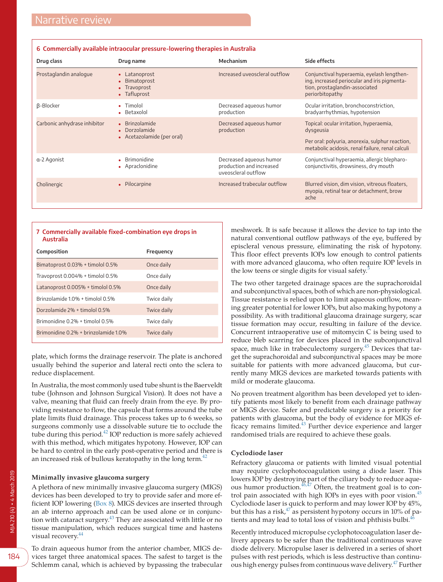<span id="page-4-0"></span>

|                              | o Commercially available incraocular pressure-lowering cilerapies in Australia |                                                                            |                                                                                                                                                             |
|------------------------------|--------------------------------------------------------------------------------|----------------------------------------------------------------------------|-------------------------------------------------------------------------------------------------------------------------------------------------------------|
| Drug class                   | Drug name                                                                      | Mechanism                                                                  | Side effects                                                                                                                                                |
| Prostaglandin analogue       | • Latanoprost<br>Bimatoprost<br>$\bullet$<br>• Travoprost<br>• Tafluprost      | Increased uveoscleral outflow                                              | Conjunctival hyperaemia, eyelash lengthen-<br>ing, increased periocular and iris pigmenta-<br>tion, prostaglandin-associated<br>periorbitopathy             |
| β-Blocker                    | • Timolol<br>Betaxolol                                                         | Decreased aqueous humor<br>production                                      | Ocular irritation, bronchoconstriction,<br>bradyarrhythmias, hypotension                                                                                    |
| Carbonic anhydrase inhibitor | • Brinzolamide<br>• Dorzolamide<br>• Acetazolamide (per oral)                  | Decreased agueous humor<br>production                                      | Topical: ocular irritation, hyperaemia,<br>dysgeusia<br>Per oral: polyuria, anorexia, sulphur reaction,<br>metabolic acidosis, renal failure, renal calculi |
| a-2 Agonist                  | • Brimonidine<br>Apraclonidine<br>٠                                            | Decreased aqueous humor<br>production and increased<br>uveoscleral outflow | Conjunctival hyperaemia, allergic blepharo-<br>conjunctivitis, drowsiness, dry mouth                                                                        |
| Cholinergic                  | • Pilocarpine                                                                  | Increased trabecular outflow                                               | Blurred vision, dim vision, vitreous floaters,<br>myopia, retinal tear or detachment, brow<br>ache                                                          |

<span id="page-4-1"></span>

| 7 Commercially available fixed-combination eye drops in<br>Australia |             |  |  |  |
|----------------------------------------------------------------------|-------------|--|--|--|
| Composition                                                          | Frequency   |  |  |  |
| Bimatoprost 0.03% + timolol 0.5%                                     | Once daily  |  |  |  |
| Travoprost 0.004% + timolol 0.5%                                     | Once daily  |  |  |  |
| Latanoprost 0.005% + timolol 0.5%                                    | Once daily  |  |  |  |
| Brinzolamide 10% + timolol 0.5%                                      | Twice daily |  |  |  |
| Dorzolamide 2% + timolol 0.5%                                        | Twice daily |  |  |  |
| Brimonidine 0.2% + timolol 0.5%                                      | Twice daily |  |  |  |
| Brimonidine 0.2% + brinzolamide 1.0%                                 | Twice daily |  |  |  |
|                                                                      |             |  |  |  |

plate, which forms the drainage reservoir. The plate is anchored usually behind the superior and lateral recti onto the sclera to reduce displacement.

In Australia, the most commonly used tube shunt is the Baerveldt tube (Johnson and Johnson Surgical Vision). It does not have a valve, meaning that fluid can freely drain from the eye. By providing resistance to flow, the capsule that forms around the tube plate limits fluid drainage. This process takes up to 6 weeks, so surgeons commonly use a dissolvable suture tie to occlude the tube during this period.<sup>[42](#page-7-5)</sup> IOP reduction is more safely achieved with this method, which mitigates hypotony. However, IOP can be hard to control in the early post-operative period and there is an increased risk of bullous keratopathy in the long term. $42$ 

## **Minimally invasive glaucoma surgery**

A plethora of new minimally invasive glaucoma surgery (MIGS) devices has been developed to try to provide safer and more efficient IOP lowering ([Box 8](#page-5-0)). MIGS devices are inserted through an ab interno approach and can be used alone or in conjunction with cataract surgery.<sup>43</sup> They are associated with little or no tissue manipulation, which reduces surgical time and hastens visual recovery.<sup>[44](#page-7-7)</sup>

To drain aqueous humor from the anterior chamber, MIGS devices target three anatomical spaces. The safest to target is the Schlemm canal, which is achieved by bypassing the trabecular

meshwork. It is safe because it allows the device to tap into the natural conventional outflow pathways of the eye, buffered by episcleral venous pressure, eliminating the risk of hypotony. This floor effect prevents IOPs low enough to control patients with more advanced glaucoma, who often require IOP levels in the low teens or single digits for visual safety.<sup>[5](#page-6-1)</sup>

The two other targeted drainage spaces are the suprachoroidal and subconjunctival spaces, both of which are non-physiological. Tissue resistance is relied upon to limit aqueous outflow, meaning greater potential for lower IOPs, but also making hypotony a possibility. As with traditional glaucoma drainage surgery, scar tissue formation may occur, resulting in failure of the device. Concurrent intraoperative use of mitomycin C is being used to reduce bleb scarring for devices placed in the subconjunctival space, much like in trabeculectomy surgery.<sup>45</sup> Devices that target the suprachoroidal and subconjunctival spaces may be more suitable for patients with more advanced glaucoma, but currently many MIGS devices are marketed towards patients with mild or moderate glaucoma.

No proven treatment algorithm has been developed yet to identify patients most likely to benefit from each drainage pathway or MIGS device. Safer and predictable surgery is a priority for patients with glaucoma, but the body of evidence for MIGS efficacy remains limited.<sup>43</sup> Further device experience and larger randomised trials are required to achieve these goals.

#### **Cyclodiode laser**

Refractory glaucoma or patients with limited visual potential may require cyclophotocoagulation using a diode laser. This lowers IOP by destroying part of the ciliary body to reduce aqueous humor production. $46,47$  Often, the treatment goal is to con-trol pain associated with high IOPs in eyes with poor vision.<sup>[45](#page-7-8)</sup> Cyclodiode laser is quick to perform and may lower IOP by 45%, but this has a risk, $47$  as persistent hypotony occurs in 10% of patients and may lead to total loss of vision and phthisis bulbi.<sup>4</sup>

Recently introduced micropulse cyclophotocoagulation laser delivery appears to be safer than the traditional continuous wave diode delivery. Micropulse laser is delivered in a series of short pulses with rest periods, which is less destructive than continuous high energy pulses from continuous wave delivery.<sup>47</sup> Further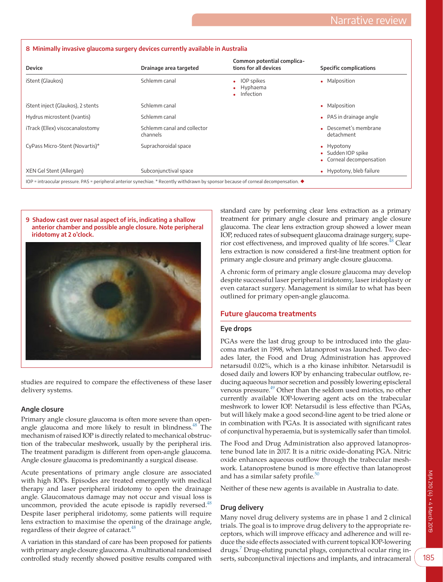| Device                            | Drainage area targeted                  | Common potential complica-<br>tions for all devices | <b>Specific complications</b>                                |
|-----------------------------------|-----------------------------------------|-----------------------------------------------------|--------------------------------------------------------------|
| iStent (Glaukos)                  | Schlemm canal                           | • IOP spikes<br>Hyphaema<br>$\bullet$ Infection     | • Malposition                                                |
| iStent inject (Glaukos), 2 stents | Schlemm canal                           |                                                     | • Malposition                                                |
| Hydrus microstent (Ivantis)       | Schlemm canal                           |                                                     | • PAS in drainage angle                                      |
| iTrack (Ellex) viscocanalostomy   | Schlemm canal and collector<br>channels |                                                     | $\bullet$ Descemet's membrane<br>detachment                  |
| CyPass Micro-Stent (Novartis)*    | Suprachoroidal space                    |                                                     | • Hypotony<br>• Sudden IOP spike<br>• Corneal decompensation |
| XEN Gel Stent (Allergan)          | Subconjunctival space                   |                                                     | • Hypotony, bleb failure                                     |

#### <span id="page-5-0"></span>**8 Minimally invasive glaucoma surgery devices currently available in Australia**

<span id="page-5-1"></span>



studies are required to compare the effectiveness of these laser delivery systems.

## **Angle closure**

Primary angle closure glaucoma is often more severe than openangle glaucoma and more likely to result in blindness.<sup>48</sup> The mechanism of raised IOP is directly related to mechanical obstruction of the trabecular meshwork, usually by the peripheral iris. The treatment paradigm is different from open-angle glaucoma. Angle closure glaucoma is predominantly a surgical disease.

Acute presentations of primary angle closure are associated with high IOPs. Episodes are treated emergently with medical therapy and laser peripheral iridotomy to open the drainage angle. Glaucomatous damage may not occur and visual loss is uncommon, provided the acute episode is rapidly reversed.<sup>48</sup> Despite laser peripheral iridotomy, some patients will require lens extraction to maximise the opening of the drainage angle, regardless of their degree of cataract.<sup>48</sup>

A variation in this standard of care has been proposed for patients with primary angle closure glaucoma. A multinational randomised controlled study recently showed positive results compared with

standard care by performing clear lens extraction as a primary treatment for primary angle closure and primary angle closure glaucoma. The clear lens extraction group showed a lower mean IOP, reduced rates of subsequent glaucoma drainage surgery, superior cost effectiveness, and improved quality of life scores.<sup>48</sup> Clear lens extraction is now considered a first-line treatment option for primary angle closure and primary angle closure glaucoma.

A chronic form of primary angle closure glaucoma may develop despite successful laser peripheral iridotomy, laser iridoplasty or even cataract surgery. Management is similar to what has been outlined for primary open-angle glaucoma.

# **Future glaucoma treatments**

# **Eye drops**

PGAs were the last drug group to be introduced into the glaucoma market in 1998, when latanoprost was launched. Two decades later, the Food and Drug Administration has approved netarsudil 0.02%, which is a rho kinase inhibitor. Netarsudil is dosed daily and lowers IOP by enhancing trabecular outflow, reducing aqueous humor secretion and possibly lowering episcleral venous pressure.<sup>49</sup> Other than the seldom used miotics, no other currently available IOP-lowering agent acts on the trabecular meshwork to lower IOP. Netarsudil is less effective than PGAs, but will likely make a good second-line agent to be tried alone or in combination with PGAs. It is associated with significant rates of conjunctival hyperaemia, but is systemically safer than timolol.

The Food and Drug Administration also approved latanoprostene bunod late in 2017. It is a nitric oxide-donating PGA. Nitric oxide enhances aqueous outflow through the trabecular meshwork. Latanoprostene bunod is more effective than latanoprost and has a similar safety profile.<sup>[50](#page-7-13)</sup>

Neither of these new agents is available in Australia to date.

# **Drug delivery**

Many novel drug delivery systems are in phase 1 and 2 clinical trials. The goal is to improve drug delivery to the appropriate receptors, which will improve efficacy and adherence and will reduce the side effects associated with current topical IOP-lowering drugs[.7](#page-6-26) Drug-eluting punctal plugs, conjunctival ocular ring inserts, subconjunctival injections and implants, and intracameral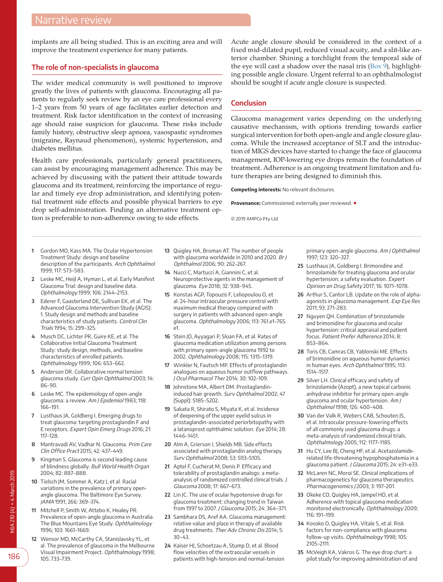implants are all being studied. This is an exciting area and will improve the treatment experience for many patients.

# **The role of non-specialists in glaucoma**

The wider medical community is well positioned to improve greatly the lives of patients with glaucoma. Encouraging all patients to regularly seek review by an eye care professional every 1–2 years from 50 years of age facilitates earlier detection and treatment. Risk factor identification in the context of increasing age should raise suspicion for glaucoma. These risks include family history, obstructive sleep apnoea, vasospastic syndromes (migraine, Raynaud phenomenon), systemic hypertension, and diabetes mellitus.

Health care professionals, particularly general practitioners, can assist by encouraging management adherence. This may be achieved by discussing with the patient their attitude towards glaucoma and its treatment, reinforcing the importance of regular and timely eye drop administration, and identifying potential treatment side effects and possible physical barriers to eye drop self-administration. Finding an alternative treatment option is preferable to non-adherence owing to side effects.

Acute angle closure should be considered in the context of a fixed mid-dilated pupil, reduced visual acuity, and a slit-like anterior chamber. Shining a torchlight from the temporal side of the eye will cast a shadow over the nasal iris ([Box 9](#page-5-1)), highlighting possible angle closure. Urgent referral to an ophthalmologist should be sought if acute angle closure is suspected.

# **Conclusion**

Glaucoma management varies depending on the underlying causative mechanism, with options trending towards earlier surgical intervention for both open-angle and angle closure glaucoma. While the increased acceptance of SLT and the introduction of MIGS devices have started to change the face of glaucoma management, IOP-lowering eye drops remain the foundation of treatment. Adherence is an ongoing treatment limitation and future therapies are being designed to diminish this.

**Competing interests:** No relevant disclosures.

**Provenance:** Commissioned; externally peer reviewed. ■

© 2019 AMPCo Pty Ltd

- <span id="page-6-0"></span>**1** Gordon MO, Kass MA. The Ocular Hypertension Treatment Study: design and baseline description of the participants. Arch Ophthalmol 1999; 117: 573–583.
- **2** Leske MC, Heijl A, Hyman L, et al. Early Manifest Glaucoma Trial: design and baseline data. Ophthalmology 1999; 106: 2144–2153.
- **3** Ederer F, Gaasterland DE, Sullivan EK, et al. The Advanced Glaucoma Intervention Study (AGIS): 1. Study design and methods and baseline characteristics of study patients. Control Clin Trials 1994; 15: 299–325.
- **4** Musch DC, Lichter PR, Guire KE, et al. The Collaborative Initial Glaucoma Treatment Study: study design, methods, and baseline characteristics of enrolled patients. Ophthalmology 1999; 106: 653–662.
- <span id="page-6-1"></span>**5** Anderson DR. Collaborative normal tension glaucoma study. Curr Opin Ophthalmol 2003; 14: 86–90.
- <span id="page-6-7"></span>**6** Leske MC. The epidemiology of open-angle glaucoma: a review. Am J Epidemiol 1983; 118: 166–191.
- <span id="page-6-26"></span>**7** Lusthaus JA, Goldberg I. Emerging drugs to treat glaucoma: targeting prostaglandin F and E receptors. Expert Opin Emerg Drugs 2016; 21: 117–128.
- <span id="page-6-2"></span>**8** Mantravadi AV, Vadhar N. Glaucoma. Prim Care Clin Office Pract 2015; 42: 437–449.
- <span id="page-6-3"></span>**9** Kingman S. Glaucoma is second leading cause of blindness globally. Bull World Health Organ 2004; 82: 887–888.
- **10** Tielsch JM, Sommer A, Katz J, et al. Racial variations in the prevalence of primary openangle glaucoma. The Baltimore Eye Survey. JAMA 1991; 266: 369–374.
- <span id="page-6-4"></span>**11** Mitchell P, Smith W, Attebo K, Healey PR. Prevalence of open-angle glaucoma in Australia. The Blue Mountains Eye Study. Ophthalmology 1996; 103: 1661–1669.
- **12** Wensor MD, McCarthy CA, Stanislavsky YL, et al. The prevalence of glaucoma in the Melbourne Visual Impairment Project. Ophthalmology 1998; 105: 733–739.
- <span id="page-6-5"></span>**13** Quigley HA, Broman AT. The number of people with glaucoma worldwide in 2010 and 2020. Br J Ophthalmol 2006; 90: 262–267.
- <span id="page-6-6"></span>**14** Nucci C, Martucci A, Giannini C, et al. Neuroprotective agents in the management of glaucoma. Eye 2018; 32: 938–945.
- <span id="page-6-8"></span>**15** Konstas AGP, Topouzis F, Leliopoulou O, et al. 24-hour intraocular pressure control with maximum medical therapy compared with surgery in patients with advanced open-angle glaucoma. Ophthalmology 2006; 113: 761.e1–765. e1.
- <span id="page-6-9"></span>**16** Stein JD, Ayyagari P, Sloan FA, et al. Rates of glaucoma medication utilization among persons with primary open-angle glaucoma 1992 to 2002. Ophthalmology 2008; 115: 1315–1319.
- <span id="page-6-10"></span>**17** Winkler N, Fautsch MP. Effects of prostaglandin analogues on aqueous humor outflow pathways. J Ocul Pharmacol Ther 2014; 30: 102–109.
- <span id="page-6-11"></span>**18** Johnstone MA, Albert DM. Prostaglandininduced hair growth. Surv Ophthalmol 2002; 47 (Suppl): S185–S202.
- <span id="page-6-12"></span>**19** Sakata R, Shirato S, Miyata K, et al. Incidence of deepening of the upper eyelid sulcus in prostaglandin-associated periorbitopathy with a latanoprost ophthalmic solution. Eye 2014; 28: 1446–1451.
- <span id="page-6-13"></span>**20** Alm A, Grierson I, Shields MB. Side effects associated with prostaglandin analog therapy. Surv Ophthalmol 2008; 53: S93–S105.
- **21** Aptel F, Cucherat M, Denis P. Efficacy and tolerability of prostaglandin analogs: a metaanalysis of randomized controlled clinical trials. J Glaucoma 2008; 17: 667–673.
- <span id="page-6-14"></span>**22** Lin JC. The use of ocular hypotensive drugs for glaucoma treatment: changing trend in Taiwan from 1997 to 2007. J Glaucoma 2015; 24: 364–371.
- <span id="page-6-15"></span>**23** Sambhara DS, Aref AA. Glaucoma management: relative value and place in therapy of available drug treatments. Ther Adv Chronic Dis 2014; 5: 30–43.
- <span id="page-6-16"></span>**24** Kaiser HJ, Schoetzau A, Stump D, et al. Blood flow velocities of the extraocular vessels in patients with high-tension and normal-tension

primary open-angle glaucoma. Am J Ophthalmol 1997; 123: 320–327.

- <span id="page-6-17"></span>**25** Lusthaus JA, Goldberg I. Brimonidine and brinzolamide for treating glaucoma and ocular hypertension; a safety evaluation. Expert Opinion on Drug Safety 2017; 16: 1071–1078.
- <span id="page-6-18"></span>**26** Arthur S, Cantor LB. Update on the role of alphaagonists in glaucoma management. Exp Eye Res 2011; 93: 271–283.
- <span id="page-6-19"></span>**27** Nguyen QH. Combination of brinzolamide and brimonidine for glaucoma and ocular hypertension: critical appraisal and patient focus. Patient Prefer Adherence 2014; 8: 853–864.
- <span id="page-6-20"></span>**28** Toris CB, Camras CB, Yablonski ME. Effects of brimonidine on aqueous humor dynamics in human eyes. Arch Ophthalmol 1995; 113: 1514–1517.
- <span id="page-6-21"></span>**29** Silver LH. Clinical efficacy and safety of brinzolamide (Azopt), a new topical carbonic anhydrase inhibitor for primary open-angle glaucoma and ocular hypertension. Am J Ophthalmol 1998; 126: 400–408.
- **30** Van der Valk R, Webers CAB, Schouten JS, et al. Intraocular pressure-lowering effects of all commonly used glaucoma drugs: a meta-analysis of randomized clinical trials. Ophthalmology 2005; 112: 1177–1185.
- <span id="page-6-22"></span>**31** Hu CY, Lee BJ, Cheng HF, et al. Acetazolamiderelated life-threatening hypophosphatemia in a glaucoma patient. J Glaucoma 2015; 24: e31-e33.
- <span id="page-6-23"></span>**32** McLaren NC, Moroi SE. Clinical implications of pharmacogenetics for glaucoma therapeutics. Pharmacogenomics J 2003; 3: 197–201.
- <span id="page-6-24"></span>**33** Okeke CO, Quigley HA, Jampel HD, et al. Adherence with topical glaucoma medication monitored electronically. Ophthalmology 2009; 116: 191–199.
- <span id="page-6-25"></span>**34** Kosoko O, Quigley HA, Vitale S, et al. Risk factors for non-compliance with glaucoma follow-up visits. Ophthalmology 1998; 105: 2105–2111.
- **35** McVeigh KA, Vakros G. The eye drop chart: a pilot study for improving administration of and

MJA 210 (4) ▪ 4 March 2019

VJA 210 (4) • 4 March 2019